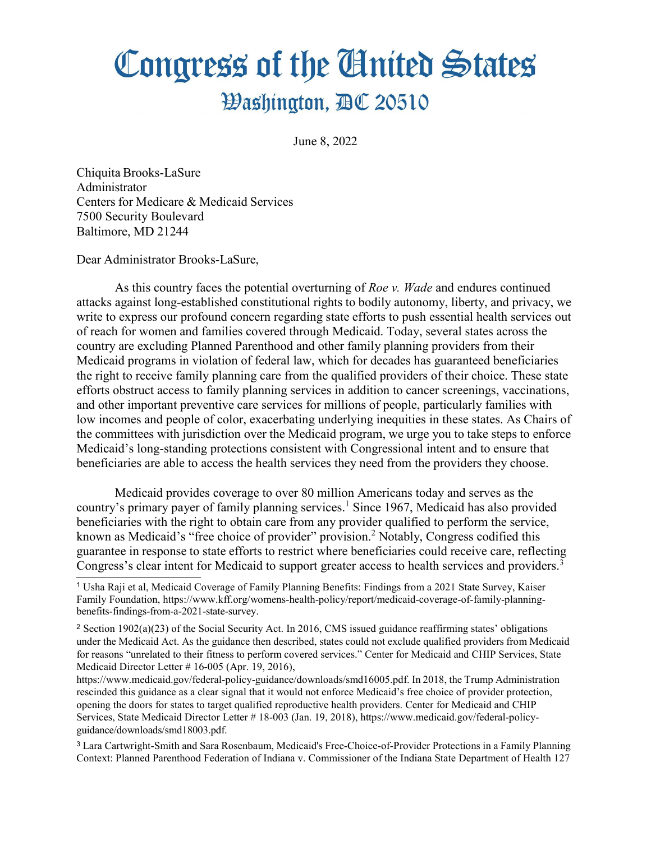## Congress of the Cinited States

## **Washington, AC 20510**

June 8, 2022

Chiquita Brooks-LaSure Administrator Centers for Medicare & Medicaid Services 7500 Security Boulevard Baltimore, MD 21244

Dear Administrator Brooks-LaSure,

As this country faces the potential overturning of *Roe v. Wade* and endures continued attacks against long-established constitutional rights to bodily autonomy, liberty, and privacy, we write to express our profound concern regarding state efforts to push essential health services out of reach for women and families covered through Medicaid. Today, several states across the country are excluding Planned Parenthood and other family planning providers from their Medicaid programs in violation of federal law, which for decades has guaranteed beneficiaries the right to receive family planning care from the qualified providers of their choice. These state efforts obstruct access to family planning services in addition to cancer screenings, vaccinations, and other important preventive care services for millions of people, particularly families with low incomes and people of color, exacerbating underlying inequities in these states. As Chairs of the committees with jurisdiction over the Medicaid program, we urge you to take steps to enforce Medicaid's long-standing protections consistent with Congressional intent and to ensure that beneficiaries are able to access the health services they need from the providers they choose.

<span id="page-0-4"></span><span id="page-0-3"></span>Medicaid provides coverage to over 80 million Americans today and serves as the country's primary payer of family planning services.<sup>1</sup> Since 1967, Medicaid has also provided beneficiaries with the right to obtain care from any provider qualified to perform the service, known as Medicaid's "free choice of provider" provision[.2](#page-0-1) Notably, Congress codified this guarantee in response to state efforts to restrict where beneficiaries could receive care, reflecting Congress's clear intent for Medicaid to support greater access to health services and providers.<sup>3</sup>

https:/[/www.medicaid.gov/federal-policy-guidance/downloads/smd16005.pdf.](http://www.medicaid.gov/federal-policy-guidance/downloads/smd16005.pdf) In 2018, the Trump Administration rescinded this guidance as a clear signal that it would not enforce Medicaid's free choice of provider protection, opening the doors for states to target qualified reproductive health providers. Center for Medicaid and CHIP Services, State Medicaid Director Letter # 18-003 (Jan. 19, 2018), https:/[/www.medicaid.gov/federal-policy](http://www.medicaid.gov/federal-policy-)guidance/downloads/smd18003.pdf.

<span id="page-0-2"></span>[3](#page-0-5) Lara Cartwright-Smith and Sara Rosenbaum, Medicaid's Free-Choice-of-Provider Protections in a Family Planning Context: Planned Parenthood Federation of Indiana v. Commissioner of the Indiana State Department of Health 127

<span id="page-0-5"></span><span id="page-0-0"></span>[<sup>1</sup>](#page-0-3) Usha Raji et al, Medicaid Coverage of Family Planning Benefits: Findings from a 2021 State Survey, Kaiser Family Foundation, https:/[/www.kff.org/womens-health-policy/report/medicaid-coverage-of-family-planning](http://www.kff.org/womens-health-policy/report/medicaid-coverage-of-family-planning-)benefits-findings-from-a-2021-state-survey.

<span id="page-0-1"></span><sup>2</sup> [S](#page-0-4)ection 1902(a)(23) of the Social Security Act. In 2016, CMS issued guidance reaffirming states' obligations under the Medicaid Act. As the guidance then described, states could not exclude qualified providers from Medicaid for reasons "unrelated to their fitness to perform covered services." Center for Medicaid and CHIP Services, State Medicaid Director Letter # 16-005 (Apr. 19, 2016),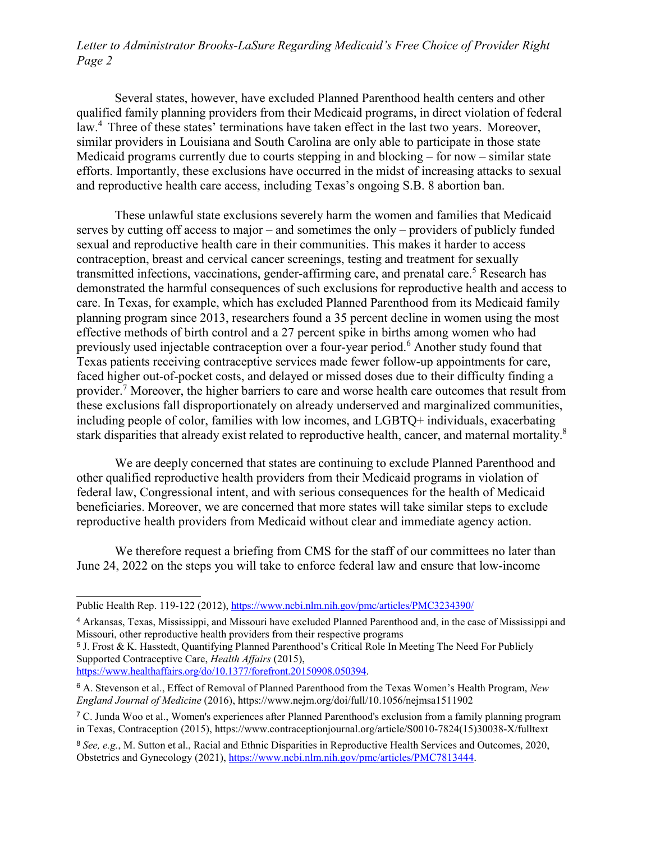## *Letter to Administrator Brooks-LaSure Regarding Medicaid's Free Choice of Provider Right Page 2*

<span id="page-1-5"></span>Several states, however, have excluded Planned Parenthood health centers and other qualified family planning providers from their Medicaid programs, in direct violation of federal law.[4](#page-1-0) Three of these states' terminations have taken effect in the last two years. Moreover, similar providers in Louisiana and South Carolina are only able to participate in those state Medicaid programs currently due to courts stepping in and blocking – for now – similar state efforts. Importantly, these exclusions have occurred in the midst of increasing attacks to sexual and reproductive health care access, including Texas's ongoing S.B. 8 abortion ban.

<span id="page-1-6"></span>These unlawful state exclusions severely harm the women and families that Medicaid serves by cutting off access to major – and sometimes the only – providers of publicly funded sexual and reproductive health care in their communities. This makes it harder to access contraception, breast and cervical cancer screenings, testing and treatment for sexually transmitted infections, vaccinations, gender-affirming care, and prenatal care.<sup>[5](#page-1-1)</sup> Research has demonstrated the harmful consequences of such exclusions for reproductive health and access to care. In Texas, for example, which has excluded Planned Parenthood from its Medicaid family planning program since 2013, researchers found a 35 percent decline in women using the most effective methods of birth control and a 27 percent spike in births among women who had previously used injectable contraception over a four-year period.<sup>6</sup> Another study found that Texas patients receiving contraceptive services made fewer follow-up appointments for care, faced higher out-of-pocket costs, and delayed or missed doses due to their difficulty finding a provider.[7](#page-1-3) Moreover, the higher barriers to care and worse health care outcomes that result from these exclusions fall disproportionately on already underserved and marginalized communities, including people of color, families with low incomes, and LGBTQ+ individuals, exacerbating stark disparities that already exist related to reproductive health, cancer, and maternal mortality.<sup>8</sup>

<span id="page-1-9"></span><span id="page-1-8"></span><span id="page-1-7"></span>We are deeply concerned that states are continuing to exclude Planned Parenthood and other qualified reproductive health providers from their Medicaid programs in violation of federal law, Congressional intent, and with serious consequences for the health of Medicaid beneficiaries. Moreover, we are concerned that more states will take similar steps to exclude reproductive health providers from Medicaid without clear and immediate agency action.

We therefore request a briefing from CMS for the staff of our committees no later than June 24, 2022 on the steps you will take to enforce federal law and ensure that low-income

Public Health Rep. 119-122 (2012), https:/[/www.ncbi.nlm.nih.gov/pmc/articles/PMC3234390/](http://www.ncbi.nlm.nih.gov/pmc/articles/PMC3234390/)

<span id="page-1-0"></span>[<sup>4</sup>](#page-1-5) Arkansas, Texas, Mississippi, and Missouri have excluded Planned Parenthood and, in the case of Mississippi and Missouri, other reproductive health providers from their respective programs

<span id="page-1-1"></span>[<sup>5</sup>](#page-1-6) J. Frost & K. Hasstedt, Quantifying Planned Parenthood's Critical Role In Meeting The Need For Publicly Supported Contraceptive Care, *Health Affairs* (2015),

https:/[/www.healthaffairs.org/do/10.1377/forefront.20150908.050394.](http://www.healthaffairs.org/do/10.1377/forefront.20150908.050394)

<span id="page-1-2"></span>[<sup>6</sup>](#page-1-7) A. Stevenson et al., Effect of Removal of Planned Parenthood from the Texas Women's Health Program, *New England Journal of Medicine* (2016), https:/[/www.nejm.org/doi/full/10.1056/nejmsa1511902](http://www.nejm.org/doi/full/10.1056/nejmsa1511902)

<span id="page-1-3"></span>[<sup>7</sup>](#page-1-8) C. Junda Woo et al., Women's experiences after Planned Parenthood's exclusion from a family planning program in Texas, Contraception (2015), https:/[/www.contraceptionjournal.org/article/S0010-7824\(15\)30038-X/fulltext](http://www.contraceptionjournal.org/article/S0010-7824(15)30038-X/fulltext)

<span id="page-1-4"></span>[<sup>8</sup>](#page-1-9) *See, e.g.*, M. Sutton et al., Racial and Ethnic Disparities in Reproductive Health Services and Outcomes, 2020, Obstetrics and Gynecology (2021), https:/[/www.ncbi.nlm.nih.gov/pmc/articles/PMC7813444.](http://www.ncbi.nlm.nih.gov/pmc/articles/PMC7813444)